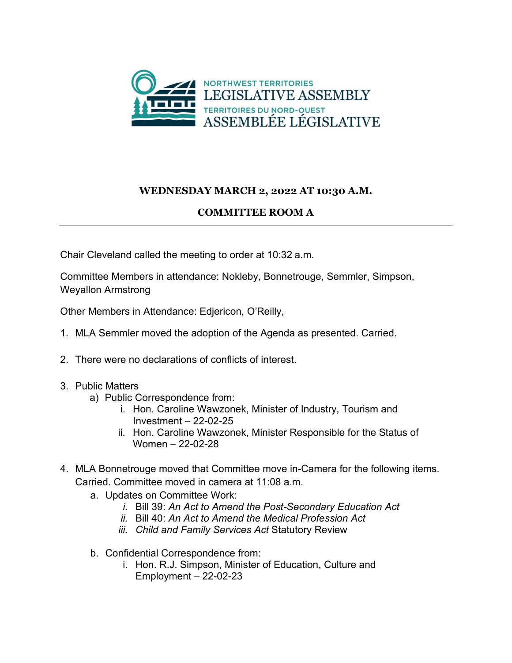

## **WEDNESDAY MARCH 2, 2022 AT 10:30 A.M.**

## **COMMITTEE ROOM A**

Chair Cleveland called the meeting to order at 10:32 a.m.

Committee Members in attendance: Nokleby, Bonnetrouge, Semmler, Simpson, Weyallon Armstrong

Other Members in Attendance: Edjericon, O'Reilly,

- 1. MLA Semmler moved the adoption of the Agenda as presented. Carried.
- 2. There were no declarations of conflicts of interest.
- 3. Public Matters
	- a) Public Correspondence from:
		- i. Hon. Caroline Wawzonek, Minister of Industry, Tourism and Investment – 22-02-25
		- ii. Hon. Caroline Wawzonek, Minister Responsible for the Status of Women – 22-02-28
- 4. MLA Bonnetrouge moved that Committee move in-Camera for the following items. Carried. Committee moved in camera at 11:08 a.m.
	- a. Updates on Committee Work:
		- *i.* Bill 39: *An Act to Amend the Post-Secondary Education Act*
		- *ii.* Bill 40: *An Act to Amend the Medical Profession Act*
		- *iii. Child and Family Services Act* Statutory Review
	- b. Confidential Correspondence from:
		- i. Hon. R.J. Simpson, Minister of Education, Culture and Employment – 22-02-23